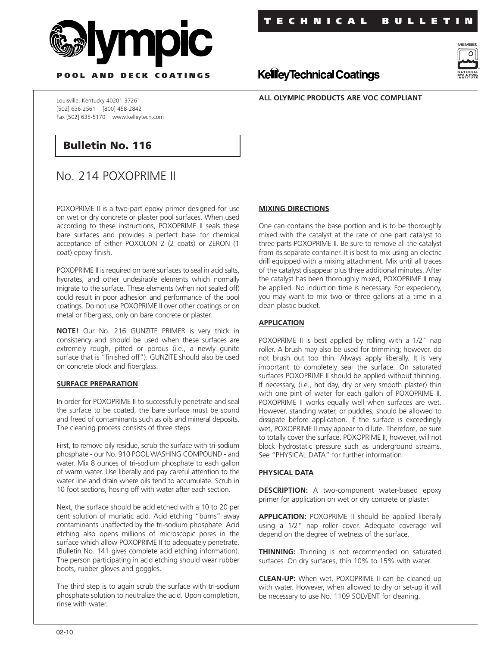



**P OOL AND DECK COATINGS**

**ALL OLYMPIC PRODUCTS ARE VOC COMPLIANT**

**KellieyTechnical Coatings** 

Louisville, Kentucky 40201-3726 [502] 636-2561 [800] 458-2842 Fax [502] 635-5170 www.kelleytech.com

# **Bulletin No. 116**

# No. 214 POXOPRIME II

POXOPRIME II is a two-part epoxy primer designed for use on wet or dry concrete or plaster pool surfaces. When used according to these instructions, POXOPRIME II seals these bare surfaces and provides a perfect base for chemical acceptance of either POXOLON 2 (2 coats) or ZERON (1 coat) epoxy finish.

POXOPRIME II is required on bare surfaces to seal in acid salts, hydrates, and other undesirable elements which normally migrate to the surface. These elements (when not sealed off) could result in poor adhesion and performance of the pool coatings. Do not use POXOPRIME II over other coatings or on metal or fiberglass, only on bare concrete or plaster.

**NOTE!** Our No. 216 GUNZITE PRIMER is very thick in consistency and should be used when these surfaces are extremely rough, pitted or porous (i.e., a newly gunite surface that is "finished off"). GUNZITE should also be used on concrete block and fiberglass.

## **SURFACE PREPARATION**

In order for POXOPRIME II to successfully penetrate and seal the surface to be coated, the bare surface must be sound and freed of contaminants such as oils and mineral deposits. The cleaning process consists of three steps.

First, to remove oily residue, scrub the surface with tri-sodium phosphate - our No. 910 POOL WASHING COMPOUND - and water. Mix 8 ounces of tri-sodium phosphate to each gallon of warm water. Use liberally and pay careful attention to the water line and drain where oils tend to accumulate. Scrub in 10 foot sections, hosing off with water after each section.

Next, the surface should be acid etched with a 10 to 20 per cent solution of muriatic acid. Acid etching "burns" away contaminants unaffected by the tri-sodium phosphate. Acid etching also opens millions of microscopic pores in the surface which allow POXOPRIME II to adequately penetrate. (Bulletin No. 141 gives complete acid etching information). The person participating in acid etching should wear rubber boots, rubber gloves and goggles.

The third step is to again scrub the surface with tri-sodium phosphate solution to neutralize the acid. Upon completion, rinse with water.

#### **MIXING DIRECTIONS**

One can contains the base portion and is to be thoroughly mixed with the catalyst at the rate of one part catalyst to three parts POXOPRIME II. Be sure to remove all the catalyst from its separate container. It is best to mix using an electric drill equipped with a mixing attachment. Mix until all traces of the catalyst disappear plus three additional minutes. After the catalyst has been thoroughly mixed, POXOPRIME II may be applied. No induction time is necessary. For expediency, you may want to mix two or three gallons at a time in a clean plastic bucket.

### **APPLICATION**

POXOPRIME II is best applied by rolling with a 1/2" nap roller. A brush may also be used for trimming; however, do not brush out too thin. Always apply liberally. It is very important to completely seal the surface. On saturated surfaces POXOPRIME II should be applied without thinning. If necessary, (i.e., hot day, dry or very smooth plaster) thin with one pint of water for each gallon of POXOPRIME II. POXOPRIME II works equally well when surfaces are wet. However, standing water, or puddles, should be allowed to dissipate before application. If the surface is exceedingly wet, POXOPRIME II may appear to dilute. Therefore, be sure to totally cover the surface. POXOPRIME II, however, will not block hydrostatic pressure such as underground streams. See "PHYSICAL DATA" for further information.

#### **PHYSICAL DATA**

**DESCRIPTION:** A two-component water-based epoxy primer for application on wet or dry concrete or plaster.

**APPLICATION:** POXOPRIME II should be applied liberally using a 1/2" nap roller cover. Adequate coverage will depend on the degree of wetness of the surface.

**THINNING:** Thinning is not recommended on saturated surfaces. On dry surfaces, thin 10% to 15% with water.

**CLEAN-UP:** When wet, POXOPRIME II can be cleaned up with water. However, when allowed to dry or set-up it will be necessary to use No. 1109 SOLVENT for cleaning.